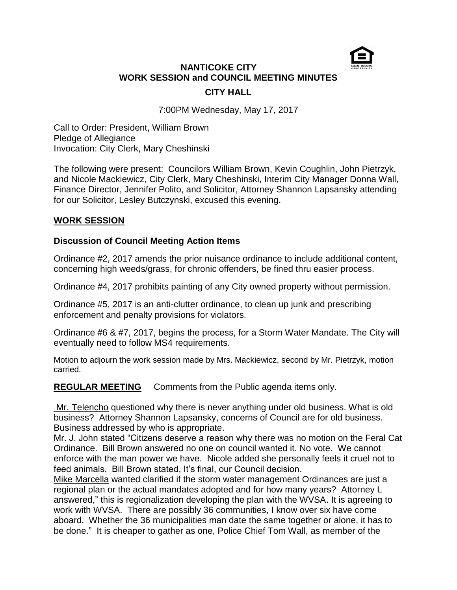

# **NANTICOKE CITY WORK SESSION and COUNCIL MEETING MINUTES CITY HALL**

7:00PM Wednesday, May 17, 2017

Call to Order: President, William Brown Pledge of Allegiance Invocation: City Clerk, Mary Cheshinski

The following were present: Councilors William Brown, Kevin Coughlin, John Pietrzyk, and Nicole Mackiewicz, City Clerk, Mary Cheshinski, Interim City Manager Donna Wall, Finance Director, Jennifer Polito, and Solicitor, Attorney Shannon Lapsansky attending for our Solicitor, Lesley Butczynski, excused this evening.

### **WORK SESSION**

### **Discussion of Council Meeting Action Items**

Ordinance #2, 2017 amends the prior nuisance ordinance to include additional content, concerning high weeds/grass, for chronic offenders, be fined thru easier process.

Ordinance #4, 2017 prohibits painting of any City owned property without permission.

Ordinance #5, 2017 is an anti-clutter ordinance, to clean up junk and prescribing enforcement and penalty provisions for violators.

Ordinance #6 & #7, 2017, begins the process, for a Storm Water Mandate. The City will eventually need to follow MS4 requirements.

Motion to adjourn the work session made by Mrs. Mackiewicz, second by Mr. Pietrzyk, motion carried.

**REGULAR MEETING** Comments from the Public agenda items only.

Mr. Telencho questioned why there is never anything under old business. What is old business? Attorney Shannon Lapsansky, concerns of Council are for old business. Business addressed by who is appropriate.

Mr. J. John stated "Citizens deserve a reason why there was no motion on the Feral Cat Ordinance. Bill Brown answered no one on council wanted it. No vote. We cannot enforce with the man power we have. Nicole added she personally feels it cruel not to feed animals. Bill Brown stated, It's final, our Council decision.

Mike Marcella wanted clarified if the storm water management Ordinances are just a regional plan or the actual mandates adopted and for how many years? Attorney L answered," this is regionalization developing the plan with the WVSA. It is agreeing to work with WVSA. There are possibly 36 communities, I know over six have come aboard. Whether the 36 municipalities man date the same together or alone, it has to be done." It is cheaper to gather as one, Police Chief Tom Wall, as member of the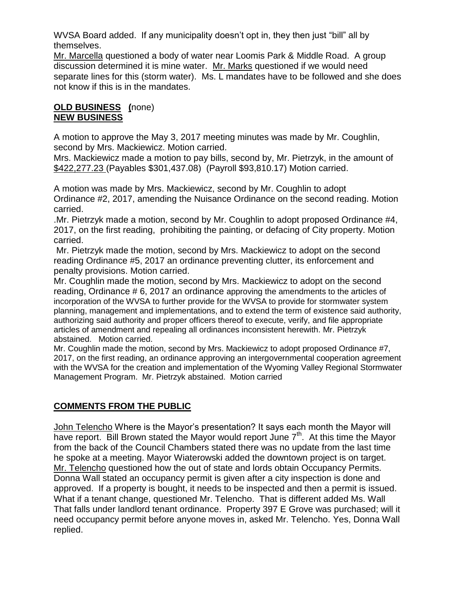WVSA Board added. If any municipality doesn't opt in, they then just "bill" all by themselves.

Mr. Marcella questioned a body of water near Loomis Park & Middle Road. A group discussion determined it is mine water. Mr. Marks questioned if we would need separate lines for this (storm water). Ms. L mandates have to be followed and she does not know if this is in the mandates.

# **OLD BUSINESS (**none) **NEW BUSINESS**

A motion to approve the May 3, 2017 meeting minutes was made by Mr. Coughlin, second by Mrs. Mackiewicz. Motion carried.

Mrs. Mackiewicz made a motion to pay bills, second by, Mr. Pietrzyk, in the amount of \$422,277.23 (Payables \$301,437.08) (Payroll \$93,810.17) Motion carried.

A motion was made by Mrs. Mackiewicz, second by Mr. Coughlin to adopt Ordinance #2, 2017, amending the Nuisance Ordinance on the second reading. Motion carried.

.Mr. Pietrzyk made a motion, second by Mr. Coughlin to adopt proposed Ordinance #4, 2017, on the first reading, prohibiting the painting, or defacing of City property. Motion carried.

Mr. Pietrzyk made the motion, second by Mrs. Mackiewicz to adopt on the second reading Ordinance #5, 2017 an ordinance preventing clutter, its enforcement and penalty provisions. Motion carried.

Mr. Coughlin made the motion, second by Mrs. Mackiewicz to adopt on the second reading, Ordinance # 6, 2017 an ordinance approving the amendments to the articles of incorporation of the WVSA to further provide for the WVSA to provide for stormwater system planning, management and implementations, and to extend the term of existence said authority, authorizing said authority and proper officers thereof to execute, verify, and file appropriate articles of amendment and repealing all ordinances inconsistent herewith. Mr. Pietrzyk abstained. Motion carried.

Mr. Coughlin made the motion, second by Mrs. Mackiewicz to adopt proposed Ordinance #7, 2017, on the first reading, an ordinance approving an intergovernmental cooperation agreement with the WVSA for the creation and implementation of the Wyoming Valley Regional Stormwater Management Program. Mr. Pietrzyk abstained. Motion carried

# **COMMENTS FROM THE PUBLIC**

John Telencho Where is the Mayor's presentation? It says each month the Mayor will have report. Bill Brown stated the Mayor would report June  $7<sup>th</sup>$ . At this time the Mayor from the back of the Council Chambers stated there was no update from the last time he spoke at a meeting. Mayor Wiaterowski added the downtown project is on target. Mr. Telencho questioned how the out of state and lords obtain Occupancy Permits. Donna Wall stated an occupancy permit is given after a city inspection is done and approved. If a property is bought, it needs to be inspected and then a permit is issued. What if a tenant change, questioned Mr. Telencho. That is different added Ms. Wall That falls under landlord tenant ordinance. Property 397 E Grove was purchased; will it need occupancy permit before anyone moves in, asked Mr. Telencho. Yes, Donna Wall replied.